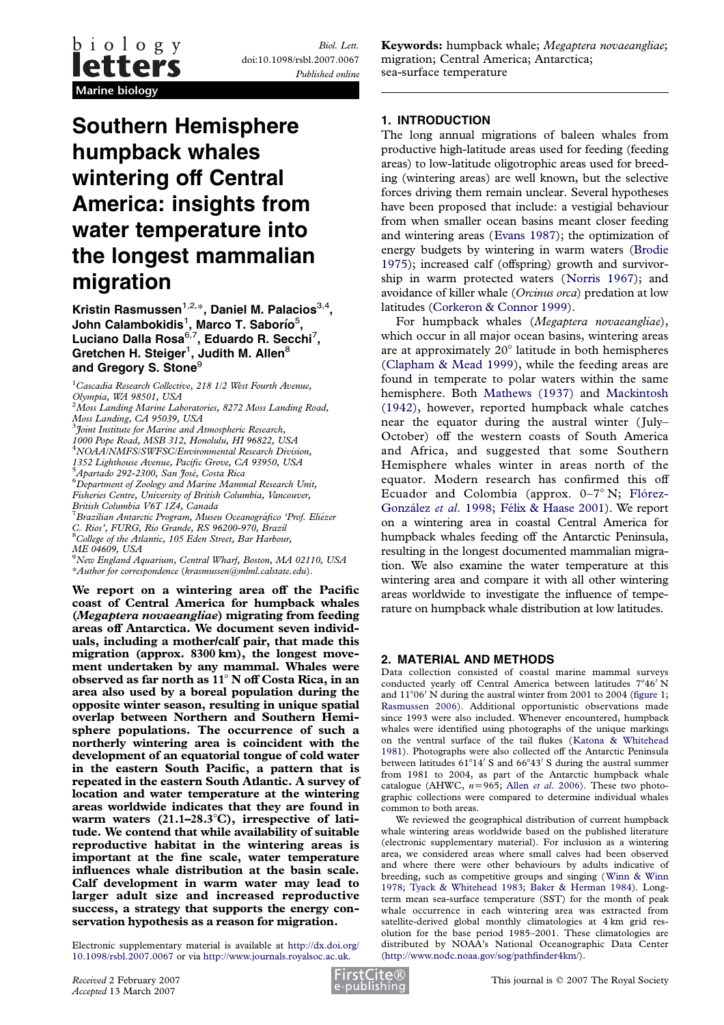Biol. Lett. doi:10.1098/rsbl.2007.0067 Published online

# Southern Hemisphere humpback whales wintering off Central America: insights from water temperature into the longest mammalian migration

Kristin Rasmussen<sup>1,2,\*</sup>, Daniel M. Palacios<sup>3,4</sup>, John Calambokidis $^{\rm 1}$ , Marco T. Saborío $^{\rm 5}$ , Luciano Dalla Rosa $^{6,7}$ , Eduardo R. Secchi $^7\!$ Gretchen H. Steiger $^{\rm 1}$ , Judith M. Allen $^{\rm 8}$ and Gregory S. Stone<sup>9</sup>

Moss Landing, CA 95039, USA 3 Joint Institute for Marine and Atmospheric Research, 1000 Pope Road, MSB 312, Honolulu, HI 96822, USA

4 NOAA/NMFS/SWFSC/Environmental Research Division, 1352 Lighthouse Avenue, Pacific Grove, CA 93950, USA

5<br>Apartado 292-2300, San José, Costa Rica<br><sup>6</sup> Department of Zoology and Marine Marin

Department of Zoology and Marine Mammal Research Unit, Fisheries Centre, University of British Columbia, Vancouver, British Columbia V6T 1Z4, Canada

<sup>7</sup> Brazilian Antarctic Program, Museu Oceanográfico 'Prof. Eliézer C. Rios', FURG, Rio Grande, RS 96200-970, Brazil<br><sup>8</sup>College of the Atlantic, 105 Eden Street, Bar Harbour, ME 04609, USA

9 New England Aquarium, Central Wharf, Boston, MA 02110, USA \*Author for correspondence (krasmussen@mlml.calstate.edu).

We report on a wintering area off the Pacific coast of Central America for humpback whales (Megaptera novaeangliae) migrating from feeding areas off Antarctica. We document seven individuals, including a mother/calf pair, that made this migration (approx. 8300 km), the longest movement undertaken by any mammal. Whales were observed as far north as  $11^{\circ}$  N off Costa Rica, in an area also used by a boreal population during the opposite winter season, resulting in unique spatial overlap between Northern and Southern Hemisphere populations. The occurrence of such a northerly wintering area is coincident with the development of an equatorial tongue of cold water in the eastern South Pacific, a pattern that is repeated in the eastern South Atlantic. A survey of location and water temperature at the wintering areas worldwide indicates that they are found in warm waters  $(21.1-28.3^{\circ}C)$ , irrespective of latitude. We contend that while availability of suitable reproductive habitat in the wintering areas is important at the fine scale, water temperature influences whale distribution at the basin scale. Calf development in warm water may lead to larger adult size and increased reproductive success, a strategy that supports the energy conservation hypothesis as a reason for migration.

Electronic supplementary material is available at [http://dx.doi.org/](http://dx.doi.org/10.1098/rsbl.2007.0067) [10.1098/rsbl.2007.0067](http://dx.doi.org/10.1098/rsbl.2007.0067) or via <http://www.journals.royalsoc.ac.uk>.

Keywords: humpback whale; Megaptera novaeangliae; migration; Central America; Antarctica; sea-surface temperature

### 1. INTRODUCTION

The long annual migrations of baleen whales from productive high-latitude areas used for feeding (feeding areas) to low-latitude oligotrophic areas used for breeding (wintering areas) are well known, but the selective forces driving them remain unclear. Several hypotheses have been proposed that include: a vestigial behaviour from when smaller ocean basins meant closer feeding and wintering areas ([Evans 1987\)](#page-3-0); the optimization of energy budgets by wintering in warm waters ([Brodie](#page-2-0) [1975\)](#page-2-0); increased calf (offspring) growth and survivorship in warm protected waters ([Norris 1967\)](#page-3-0); and avoidance of killer whale (Orcinus orca) predation at low latitudes ([Corkeron & Connor 1999](#page-3-0)).

For humpback whales (Megaptera novaeangliae), which occur in all major ocean basins, wintering areas are at approximately  $20^{\circ}$  latitude in both hemispheres [\(Clapham & Mead 1999](#page-3-0)), while the feeding areas are found in temperate to polar waters within the same hemisphere. Both [Mathews \(1937\)](#page-3-0) and [Mackintosh](#page-3-0) [\(1942\)](#page-3-0), however, reported humpback whale catches near the equator during the austral winter (July– October) off the western coasts of South America and Africa, and suggested that some Southern Hemisphere whales winter in areas north of the equator. Modern research has confirmed this off Ecuador and Colombia (approx.  $0-7^\circ$  N; Flórez-González et al. 1998; Félix & Haase 2001). We report on a wintering area in coastal Central America for humpback whales feeding off the Antarctic Peninsula, resulting in the longest documented mammalian migration. We also examine the water temperature at this wintering area and compare it with all other wintering areas worldwide to investigate the influence of temperature on humpback whale distribution at low latitudes.

#### 2. MATERIAL AND METHODS

Data collection consisted of coastal marine mammal surveys conducted yearly off Central America between latitudes  $7^{\circ}46'$  N and  $11^{\circ}06'$  N during the austral winter from 2001 to 2004 ([figure 1](#page-1-0); [Rasmussen 2006\)](#page-3-0). Additional opportunistic observations made since 1993 were also included. Whenever encountered, humpback whales were identified using photographs of the unique markings on the ventral surface of the tail flukes ([Katona & Whitehead](#page-3-0) [1981\)](#page-3-0). Photographs were also collected off the Antarctic Peninsula between latitudes  $61^{\circ}14'$  S and  $66^{\circ}43'$  S during the austral summer from 1981 to 2004, as part of the Antarctic humpback whale catalogue (AHWC,  $n=965$ ; Allen et al[. 2006\)](#page-2-0). These two photographic collections were compared to determine individual whales common to both areas.

We reviewed the geographical distribution of current humpback whale wintering areas worldwide based on the published literature (electronic supplementary material). For inclusion as a wintering area, we considered areas where small calves had been observed and where there were other behaviours by adults indicative of breeding, such as competitive groups and singing ([Winn & Winn](#page-3-0) [1978;](#page-3-0) [Tyack & Whitehead 1983;](#page-3-0) [Baker & Herman 1984](#page-2-0)). Longterm mean sea-surface temperature (SST) for the month of peak whale occurrence in each wintering area was extracted from satellite-derived global monthly climatologies at 4 km grid resolution for the base period 1985–2001. These climatologies are distributed by NOAA's National Oceanographic Data Center [\(http://www.nodc.noaa.gov/sog/pathfinder4km/\)](http://www.nodc.noaa.gov/sog/pathfinder4km/).



<sup>&</sup>lt;sup>1</sup>Cascadia Research Collective, 218 1/2 West Fourth Avenue, Olympia, WA 98501, USA

<sup>&</sup>lt;sup>2</sup>Moss Landing Marine Laboratories, 8272 Moss Landing Road,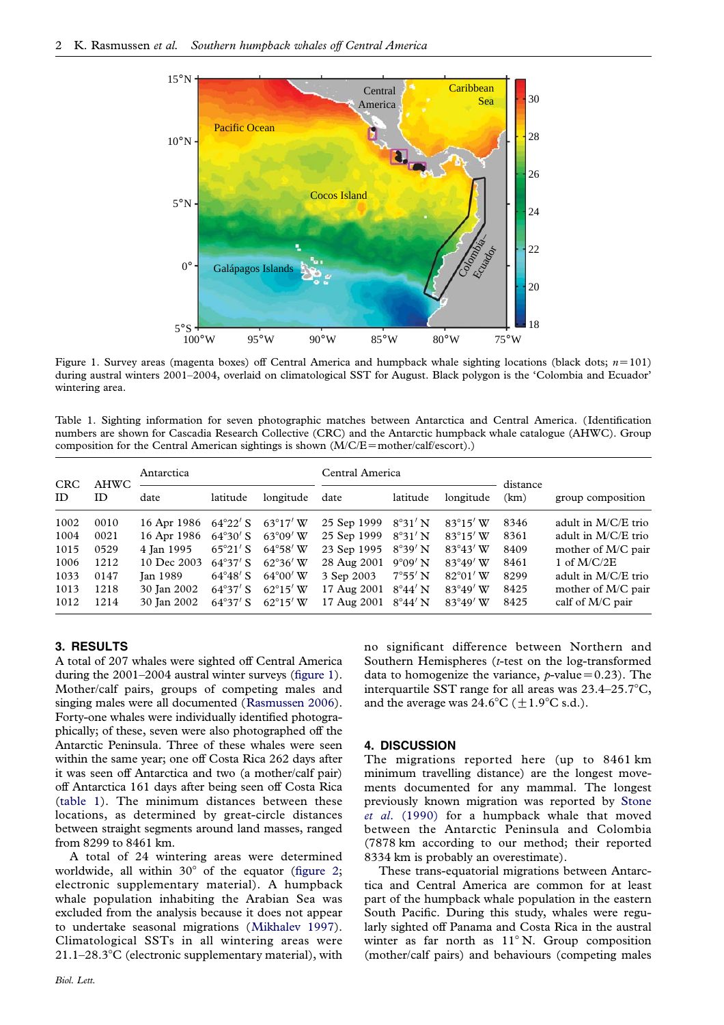<span id="page-1-0"></span>

Figure 1. Survey areas (magenta boxes) off Central America and humpback whale sighting locations (black dots;  $n=101$ ) during austral winters 2001–2004, overlaid on climatological SST for August. Black polygon is the 'Colombia and Ecuador' wintering area.

Table 1. Sighting information for seven photographic matches between Antarctica and Central America. (Identification numbers are shown for Cascadia Research Collective (CRC) and the Antarctic humpback whale catalogue (AHWC). Group composition for the Central American sightings is shown  $(M/C/E = mother/calf/escort)$ .)

| <b>CRC</b><br>ID | AHWC<br>ID | Antarctica      |                   |                   | Central America |                  | distance          |      |                       |
|------------------|------------|-----------------|-------------------|-------------------|-----------------|------------------|-------------------|------|-----------------------|
|                  |            | date            | latitude          | longitude         | date            | latitude         | longitude         | (km) | group composition     |
| 1002             | 0010       | 16 Apr 1986     | $64^{\circ}22'$ S | $63^{\circ}17'$ W | 25 Sep 1999     | $8^{\circ}31'$ N | $83^\circ 15'$ W  | 8346 | adult in $M/C/E$ trio |
| 1004             | 0021       | 16 Apr 1986     | $64^{\circ}30'$ S | $63^{\circ}09'$ W | 25 Sep 1999     | $8^{\circ}31'$ N | $83^{\circ}15'$ W | 8361 | adult in $M/C/E$ trio |
| 1015             | 0529       | 4 Ian 1995      | $65^{\circ}21'$ S | $64^{\circ}58'$ W | 23 Sep 1995     | $8^{\circ}39'$ N | $83^{\circ}43'$ W | 8409 | mother of M/C pair    |
| 1006             | 1212       | 10 Dec 2003     | $64^{\circ}37'$ S | $62^{\circ}36'$ W | 28 Aug 2001     | $9^{\circ}09'$ N | $83^{\circ}49'$ W | 8461 | 1 of $M/C/2E$         |
| 1033             | 0147       | <b>Ian 1989</b> | $64^{\circ}48'$ S | $64^{\circ}00'$ W | 3 Sep 2003      | $7^{\circ}55'$ N | $82^{\circ}01'$ W | 8299 | adult in $M/C/E$ trio |
| 1013             | 1218       | 30 Jan 2002     | $64^{\circ}37'$ S | $62^{\circ}15'$ W | 17 Aug 2001     | $8^{\circ}44'$ N | $83^{\circ}49'$ W | 8425 | mother of M/C pair    |
| 1012             | 1214       | 30 Jan 2002     | $64^{\circ}37'$ S | $62^{\circ}15'$ W | 17 Aug 2001     | $8^{\circ}44'$ N | $83^{\circ}49'$ W | 8425 | calf of M/C pair      |

### 3. RESULTS

A total of 207 whales were sighted off Central America during the 2001–2004 austral winter surveys (figure 1). Mother/calf pairs, groups of competing males and singing males were all documented ([Rasmussen 2006\)](#page-3-0). Forty-one whales were individually identified photographically; of these, seven were also photographed off the Antarctic Peninsula. Three of these whales were seen within the same year; one off Costa Rica 262 days after it was seen off Antarctica and two (a mother/calf pair) off Antarctica 161 days after being seen off Costa Rica (table 1). The minimum distances between these locations, as determined by great-circle distances between straight segments around land masses, ranged from 8299 to 8461 km.

A total of 24 wintering areas were determined worldwide, all within  $30^{\circ}$  of the equator ([figure 2;](#page-2-0) electronic supplementary material). A humpback whale population inhabiting the Arabian Sea was excluded from the analysis because it does not appear to undertake seasonal migrations ([Mikhalev 1997\)](#page-3-0). Climatological SSTs in all wintering areas were  $21.1-28.3^{\circ}$ C (electronic supplementary material), with

Biol. Lett.

no significant difference between Northern and Southern Hemispheres (t-test on the log-transformed data to homogenize the variance,  $p$ -value=0.23). The interquartile SST range for all areas was  $23.4-25.7^{\circ}C$ , and the average was  $24.6^{\circ}C (\pm 1.9^{\circ}C \text{ s.d.}).$ 

#### 4. DISCUSSION

The migrations reported here (up to 8461 km minimum travelling distance) are the longest movements documented for any mammal. The longest previously known migration was reported by [Stone](#page-3-0) et al[. \(1990\)](#page-3-0) for a humpback whale that moved between the Antarctic Peninsula and Colombia (7878 km according to our method; their reported 8334 km is probably an overestimate).

These trans-equatorial migrations between Antarctica and Central America are common for at least part of the humpback whale population in the eastern South Pacific. During this study, whales were regularly sighted off Panama and Costa Rica in the austral winter as far north as  $11^{\circ}$  N. Group composition (mother/calf pairs) and behaviours (competing males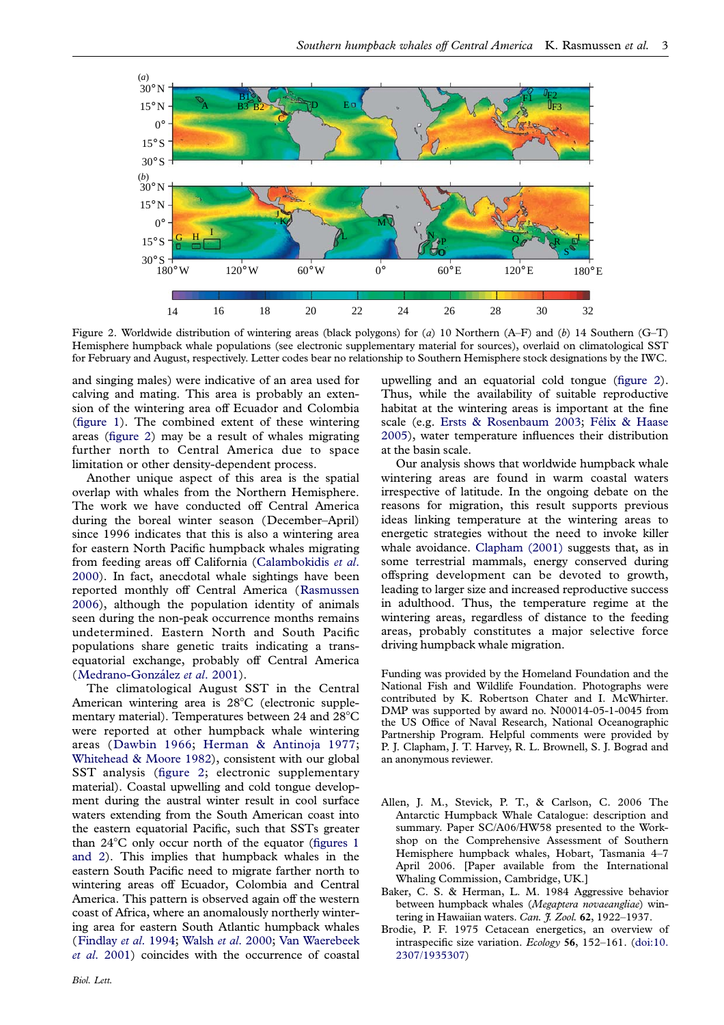<span id="page-2-0"></span>

Figure 2. Worldwide distribution of wintering areas (black polygons) for (a) 10 Northern (A–F) and (b) 14 Southern (G–T) Hemisphere humpback whale populations (see electronic supplementary material for sources), overlaid on climatological SST for February and August, respectively. Letter codes bear no relationship to Southern Hemisphere stock designations by the IWC.

and singing males) were indicative of an area used for calving and mating. This area is probably an extension of the wintering area off Ecuador and Colombia [\(figure 1\)](#page-1-0). The combined extent of these wintering areas (figure 2) may be a result of whales migrating further north to Central America due to space limitation or other density-dependent process.

Another unique aspect of this area is the spatial overlap with whales from the Northern Hemisphere. The work we have conducted off Central America during the boreal winter season (December–April) since 1996 indicates that this is also a wintering area for eastern North Pacific humpback whales migrating from feeding areas off California ([Calambokidis](#page-3-0) et al. [2000](#page-3-0)). In fact, anecdotal whale sightings have been reported monthly off Central America ([Rasmussen](#page-3-0) [2006](#page-3-0)), although the population identity of animals seen during the non-peak occurrence months remains undetermined. Eastern North and South Pacific populations share genetic traits indicating a transequatorial exchange, probably off Central America (Medrano-González et al. 2001).

The climatological August SST in the Central American wintering area is 28°C (electronic supplementary material). Temperatures between 24 and  $28^{\circ}$ C were reported at other humpback whale wintering areas ([Dawbin 1966;](#page-3-0) [Herman & Antinoja 1977](#page-3-0); [Whitehead & Moore 1982\)](#page-3-0), consistent with our global SST analysis (figure 2; electronic supplementary material). Coastal upwelling and cold tongue development during the austral winter result in cool surface waters extending from the South American coast into the eastern equatorial Pacific, such that SSTs greater than  $24^{\circ}$ C only occur north of the equator [\(figures 1](#page-1-0) [and 2](#page-1-0)). This implies that humpback whales in the eastern South Pacific need to migrate farther north to wintering areas off Ecuador, Colombia and Central America. This pattern is observed again off the western coast of Africa, where an anomalously northerly wintering area for eastern South Atlantic humpback whales ([Findlay](#page-3-0) et al. 1994; Walsh et al[. 2000;](#page-3-0) [Van Waerebeek](#page-3-0) et al[. 2001](#page-3-0)) coincides with the occurrence of coastal

upwelling and an equatorial cold tongue (figure 2). Thus, while the availability of suitable reproductive habitat at the wintering areas is important at the fine scale (e.g. [Ersts & Rosenbaum 2003](#page-3-0); Félix & Haase [2005\)](#page-3-0), water temperature influences their distribution at the basin scale.

Our analysis shows that worldwide humpback whale wintering areas are found in warm coastal waters irrespective of latitude. In the ongoing debate on the reasons for migration, this result supports previous ideas linking temperature at the wintering areas to energetic strategies without the need to invoke killer whale avoidance. [Clapham \(2001\)](#page-3-0) suggests that, as in some terrestrial mammals, energy conserved during offspring development can be devoted to growth, leading to larger size and increased reproductive success in adulthood. Thus, the temperature regime at the wintering areas, regardless of distance to the feeding areas, probably constitutes a major selective force driving humpback whale migration.

Funding was provided by the Homeland Foundation and the National Fish and Wildlife Foundation. Photographs were contributed by K. Robertson Chater and I. McWhirter. DMP was supported by award no. N00014-05-1-0045 from the US Office of Naval Research, National Oceanographic Partnership Program. Helpful comments were provided by P. J. Clapham, J. T. Harvey, R. L. Brownell, S. J. Bograd and an anonymous reviewer.

- Allen, J. M., Stevick, P. T., & Carlson, C. 2006 The Antarctic Humpback Whale Catalogue: description and summary. Paper SC/A06/HW58 presented to the Workshop on the Comprehensive Assessment of Southern Hemisphere humpback whales, Hobart, Tasmania 4–7 April 2006. [Paper available from the International Whaling Commission, Cambridge, UK.]
- Baker, C. S. & Herman, L. M. 1984 Aggressive behavior between humpback whales (Megaptera novaeangliae) wintering in Hawaiian waters. Can. J. Zool. 62, 1922-1937.
- Brodie, P. F. 1975 Cetacean energetics, an overview of intraspecific size variation. Ecology 56, 152–161. ([doi:10.](http://dx.doi.org/doi:10.2307/1935307) [2307/1935307](http://dx.doi.org/doi:10.2307/1935307))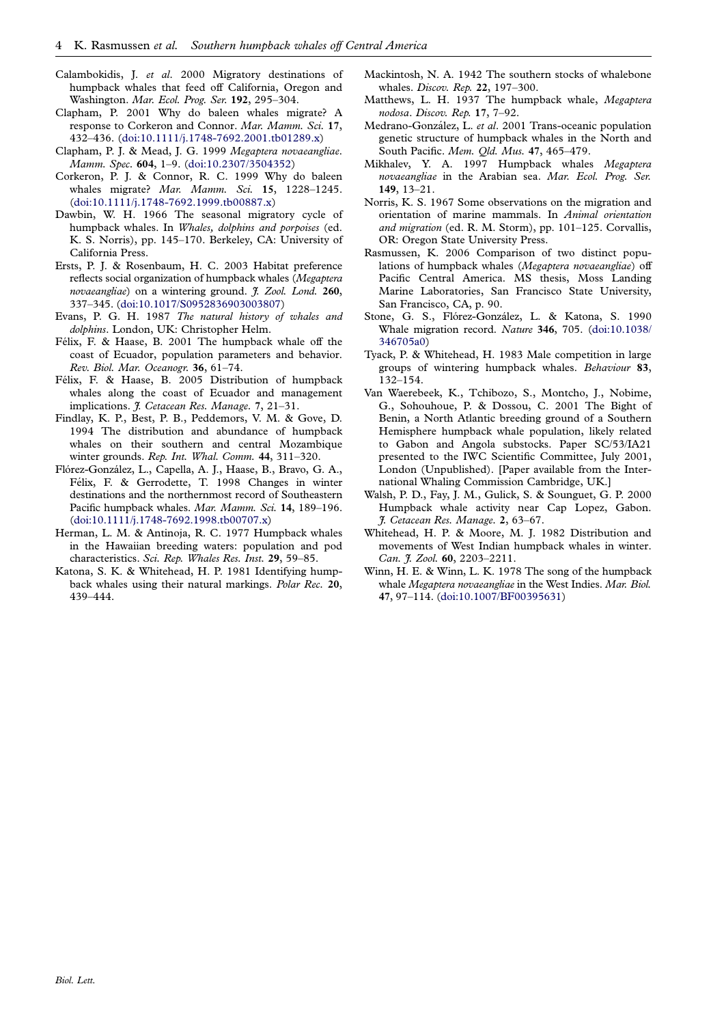- <span id="page-3-0"></span>Calambokidis, J. et al. 2000 Migratory destinations of humpback whales that feed off California, Oregon and Washington. Mar. Ecol. Prog. Ser. 192, 295–304.
- Clapham, P. 2001 Why do baleen whales migrate? A response to Corkeron and Connor. Mar. Mamm. Sci. 17, 432–436. [\(doi:10.1111/j.1748-7692.2001.tb01289.x\)](http://dx.doi.org/doi:10.1111/j.1748-7692.2001.tb01289.x)
- Clapham, P. J. & Mead, J. G. 1999 Megaptera novaeangliae. Mamm. Spec. 604, 1–9. ([doi:10.2307/3504352](http://dx.doi.org/doi:10.2307/3504352))
- Corkeron, P. J. & Connor, R. C. 1999 Why do baleen whales migrate? Mar. Mamm. Sci. 15, 1228-1245. ([doi:10.1111/j.1748-7692.1999.tb00887.x](http://dx.doi.org/doi:10.1111/j.1748-7692.1999.tb00887.x))
- Dawbin, W. H. 1966 The seasonal migratory cycle of humpback whales. In *Whales, dolphins and porpoises* (ed. K. S. Norris), pp. 145–170. Berkeley, CA: University of California Press.
- Ersts, P. J. & Rosenbaum, H. C. 2003 Habitat preference reflects social organization of humpback whales (Megaptera novaeangliae) on a wintering ground. J. Zool. Lond. 260, 337–345. [\(doi:10.1017/S0952836903003807\)](http://dx.doi.org/doi:10.1017/S0952836903003807)
- Evans, P. G. H. 1987 The natural history of whales and dolphins. London, UK: Christopher Helm.
- Félix, F. & Haase, B. 2001 The humpback whale off the coast of Ecuador, population parameters and behavior. Rev. Biol. Mar. Oceanogr. 36, 61–74.
- Félix, F. & Haase, B. 2005 Distribution of humpback whales along the coast of Ecuador and management implications. J. Cetacean Res. Manage. 7, 21–31.
- Findlay, K. P., Best, P. B., Peddemors, V. M. & Gove, D. 1994 The distribution and abundance of humpback whales on their southern and central Mozambique winter grounds. Rep. Int. Whal. Comm. 44, 311-320.
- Flórez-González, L., Capella, A. J., Haase, B., Bravo, G. A., Félix, F. & Gerrodette, T. 1998 Changes in winter destinations and the northernmost record of Southeastern Pacific humpback whales. Mar. Mamm. Sci. 14, 189-196. ([doi:10.1111/j.1748-7692.1998.tb00707.x\)](http://dx.doi.org/doi:10.1111/j.1748-7692.1998.tb00707.x)
- Herman, L. M. & Antinoja, R. C. 1977 Humpback whales in the Hawaiian breeding waters: population and pod characteristics. Sci. Rep. Whales Res. Inst. 29, 59–85.
- Katona, S. K. & Whitehead, H. P. 1981 Identifying humpback whales using their natural markings. Polar Rec. 20, 439–444.
- Mackintosh, N. A. 1942 The southern stocks of whalebone whales. Discov. Rep. 22, 197–300.
- Matthews, L. H. 1937 The humpback whale, Megaptera nodosa. Discov. Rep. 17, 7–92.
- Medrano-González, L. et al. 2001 Trans-oceanic population genetic structure of humpback whales in the North and South Pacific. Mem. Qld. Mus. 47, 465–479.
- Mikhalev, Y. A. 1997 Humpback whales Megaptera novaeangliae in the Arabian sea. Mar. Ecol. Prog. Ser. 149, 13–21.
- Norris, K. S. 1967 Some observations on the migration and orientation of marine mammals. In Animal orientation and migration (ed. R. M. Storm), pp. 101–125. Corvallis, OR: Oregon State University Press.
- Rasmussen, K. 2006 Comparison of two distinct populations of humpback whales (Megaptera novaeangliae) off Pacific Central America. MS thesis, Moss Landing Marine Laboratories, San Francisco State University, San Francisco, CA, p. 90.
- Stone, G. S., Flórez-González, L. & Katona, S. 1990 Whale migration record. Nature 346, 705. ([doi:10.1038/](http://dx.doi.org/doi:10.1038/346705a0) [346705a0\)](http://dx.doi.org/doi:10.1038/346705a0)
- Tyack, P. & Whitehead, H. 1983 Male competition in large groups of wintering humpback whales. Behaviour 83, 132–154.
- Van Waerebeek, K., Tchibozo, S., Montcho, J., Nobime, G., Sohouhoue, P. & Dossou, C. 2001 The Bight of Benin, a North Atlantic breeding ground of a Southern Hemisphere humpback whale population, likely related to Gabon and Angola substocks. Paper SC/53/IA21 presented to the IWC Scientific Committee, July 2001, London (Unpublished). [Paper available from the International Whaling Commission Cambridge, UK.]
- Walsh, P. D., Fay, J. M., Gulick, S. & Sounguet, G. P. 2000 Humpback whale activity near Cap Lopez, Gabon. J. Cetacean Res. Manage. 2, 63–67.
- Whitehead, H. P. & Moore, M. J. 1982 Distribution and movements of West Indian humpback whales in winter. Can. J. Zool. 60, 2203-2211.
- Winn, H. E. & Winn, L. K. 1978 The song of the humpback whale Megaptera novaeangliae in the West Indies. Mar. Biol. 47, 97–114. [\(doi:10.1007/BF00395631\)](http://dx.doi.org/doi:10.1007/BF00395631)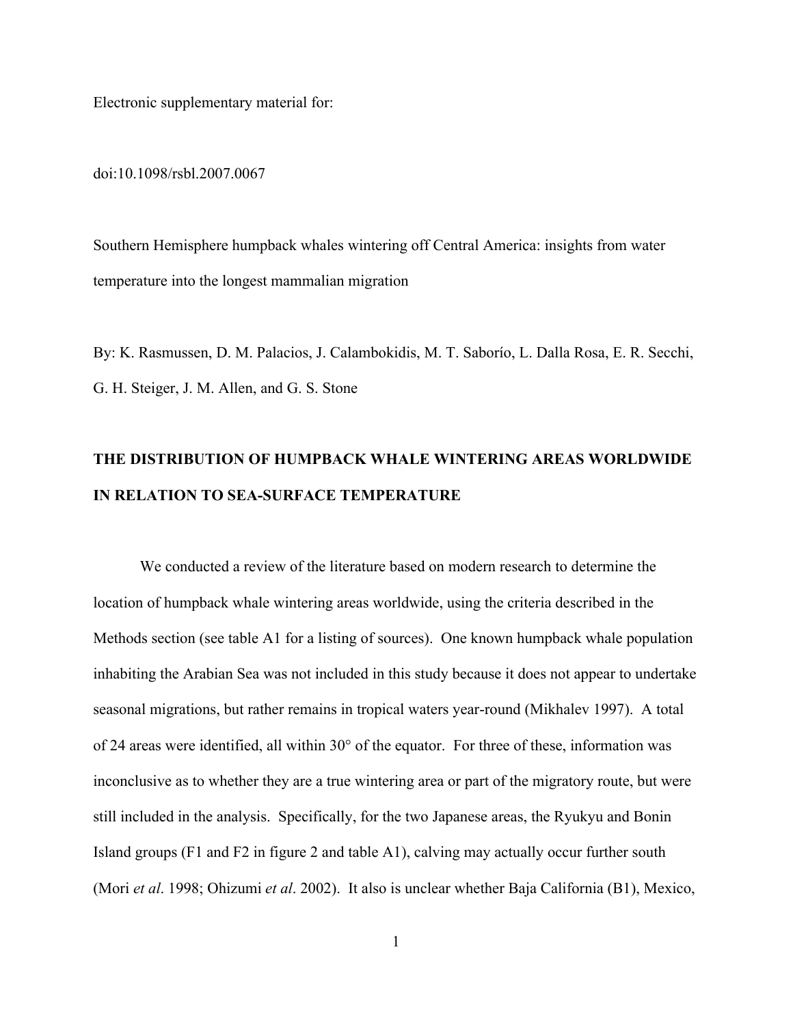Electronic supplementary material for:

doi:10.1098/rsbl.2007.0067

Southern Hemisphere humpback whales wintering off Central America: insights from water temperature into the longest mammalian migration

By: K. Rasmussen, D. M. Palacios, J. Calambokidis, M. T. Saborío, L. Dalla Rosa, E. R. Secchi, G. H. Steiger, J. M. Allen, and G. S. Stone

# THE DISTRIBUTION OF HUMPBACK WHALE WINTERING AREAS WORLDWIDE IN RELATION TO SEA-SURFACE TEMPERATURE

We conducted a review of the literature based on modern research to determine the location of humpback whale wintering areas worldwide, using the criteria described in the Methods section (see table A1 for a listing of sources). One known humpback whale population inhabiting the Arabian Sea was not included in this study because it does not appear to undertake seasonal migrations, but rather remains in tropical waters year-round (Mikhalev 1997). A total of 24 areas were identified, all within 30° of the equator. For three of these, information was inconclusive as to whether they are a true wintering area or part of the migratory route, but were still included in the analysis. Specifically, for the two Japanese areas, the Ryukyu and Bonin Island groups (F1 and F2 in figure 2 and table A1), calving may actually occur further south (Mori *et al*. 1998; Ohizumi *et al*. 2002). It also is unclear whether Baja California (B1), Mexico,

1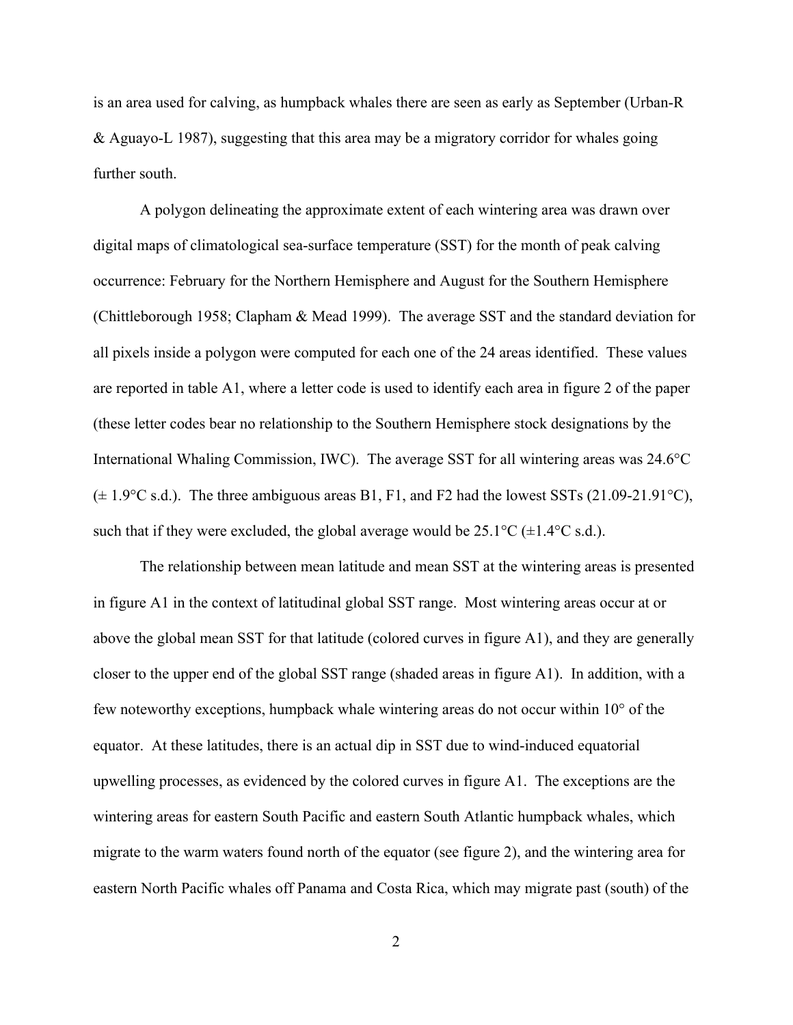is an area used for calving, as humpback whales there are seen as early as September (Urban-R & Aguayo-L 1987), suggesting that this area may be a migratory corridor for whales going further south.

A polygon delineating the approximate extent of each wintering area was drawn over digital maps of climatological sea-surface temperature (SST) for the month of peak calving occurrence: February for the Northern Hemisphere and August for the Southern Hemisphere (Chittleborough 1958; Clapham & Mead 1999). The average SST and the standard deviation for all pixels inside a polygon were computed for each one of the 24 areas identified. These values are reported in table A1, where a letter code is used to identify each area in figure 2 of the paper (these letter codes bear no relationship to the Southern Hemisphere stock designations by the International Whaling Commission, IWC). The average SST for all wintering areas was 24.6°C  $(\pm 1.9^{\circ}\text{C s.d.})$ . The three ambiguous areas B1, F1, and F2 had the lowest SSTs (21.09-21.91 $^{\circ}\text{C}$ ), such that if they were excluded, the global average would be  $25.1^{\circ}C (\pm 1.4^{\circ}C \text{ s.d.})$ .

The relationship between mean latitude and mean SST at the wintering areas is presented in figure A1 in the context of latitudinal global SST range. Most wintering areas occur at or above the global mean SST for that latitude (colored curves in figure A1), and they are generally closer to the upper end of the global SST range (shaded areas in figure A1). In addition, with a few noteworthy exceptions, humpback whale wintering areas do not occur within 10° of the equator. At these latitudes, there is an actual dip in SST due to wind-induced equatorial upwelling processes, as evidenced by the colored curves in figure A1. The exceptions are the wintering areas for eastern South Pacific and eastern South Atlantic humpback whales, which migrate to the warm waters found north of the equator (see figure 2), and the wintering area for eastern North Pacific whales off Panama and Costa Rica, which may migrate past (south) of the

2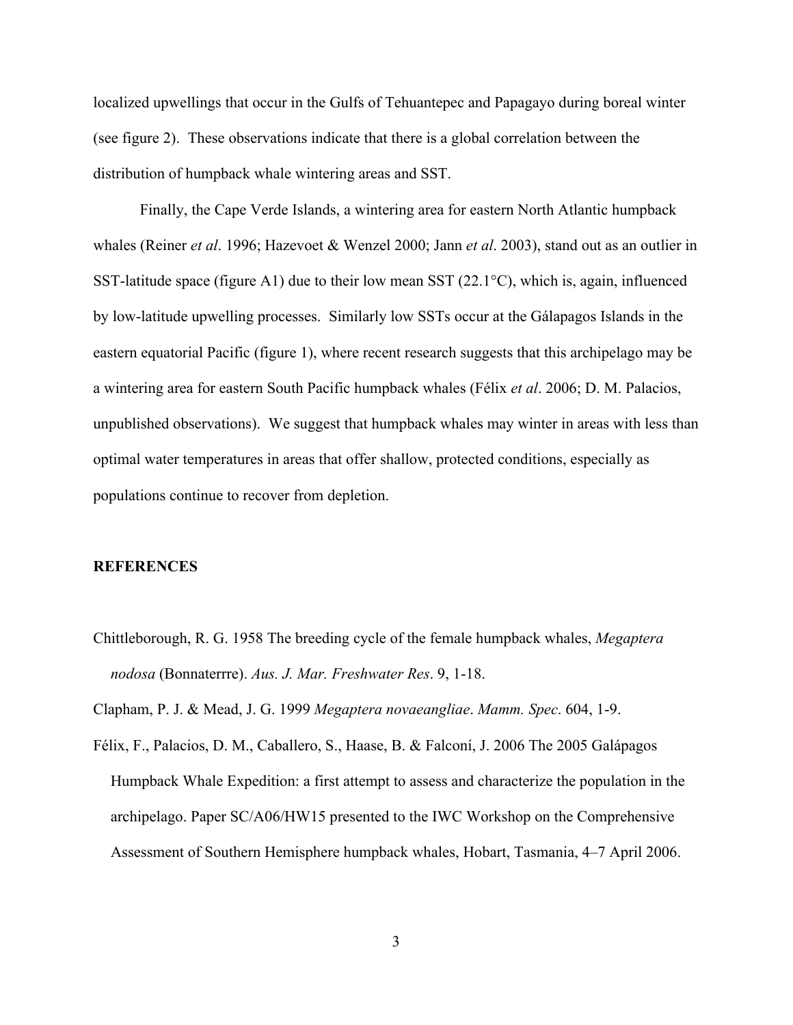localized upwellings that occur in the Gulfs of Tehuantepec and Papagayo during boreal winter (see figure 2). These observations indicate that there is a global correlation between the distribution of humpback whale wintering areas and SST.

Finally, the Cape Verde Islands, a wintering area for eastern North Atlantic humpback whales (Reiner *et al*. 1996; Hazevoet & Wenzel 2000; Jann *et al*. 2003), stand out as an outlier in SST-latitude space (figure A1) due to their low mean SST (22.1 $^{\circ}$ C), which is, again, influenced by low-latitude upwelling processes. Similarly low SSTs occur at the Gálapagos Islands in the eastern equatorial Pacific (figure 1), where recent research suggests that this archipelago may be a wintering area for eastern South Pacific humpback whales (Félix *et al*. 2006; D. M. Palacios, unpublished observations). We suggest that humpback whales may winter in areas with less than optimal water temperatures in areas that offer shallow, protected conditions, especially as populations continue to recover from depletion.

## **REFERENCES**

Chittleborough, R. G. 1958 The breeding cycle of the female humpback whales, *Megaptera nodosa* (Bonnaterrre). *Aus. J. Mar. Freshwater Res*. 9, 1-18.

Clapham, P. J. & Mead, J. G. 1999 *Megaptera novaeangliae*. *Mamm. Spec*. 604, 1-9.

Félix, F., Palacios, D. M., Caballero, S., Haase, B. & Falconí, J. 2006 The 2005 Galápagos Humpback Whale Expedition: a first attempt to assess and characterize the population in the archipelago. Paper SC/A06/HW15 presented to the IWC Workshop on the Comprehensive Assessment of Southern Hemisphere humpback whales, Hobart, Tasmania, 4–7 April 2006.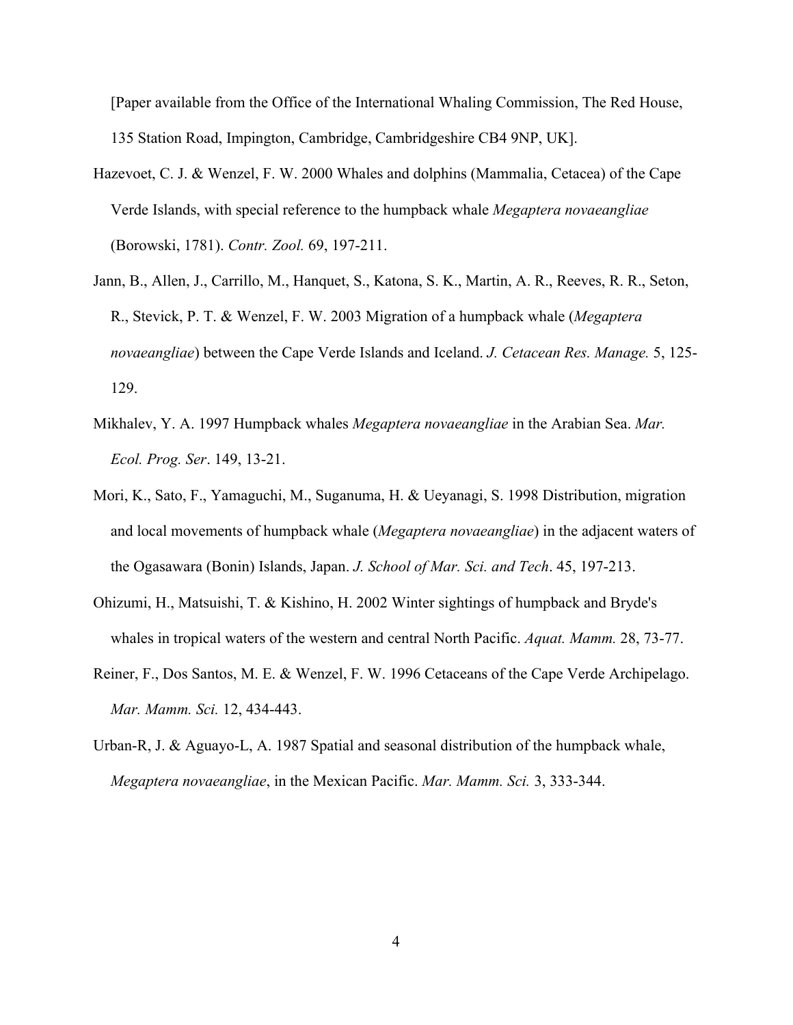[Paper available from the Office of the International Whaling Commission, The Red House, 135 Station Road, Impington, Cambridge, Cambridgeshire CB4 9NP, UK].

- Hazevoet, C. J. & Wenzel, F. W. 2000 Whales and dolphins (Mammalia, Cetacea) of the Cape Verde Islands, with special reference to the humpback whale *Megaptera novaeangliae* (Borowski, 1781). *Contr. Zool.* 69, 197-211.
- Jann, B., Allen, J., Carrillo, M., Hanquet, S., Katona, S. K., Martin, A. R., Reeves, R. R., Seton, R., Stevick, P. T. & Wenzel, F. W. 2003 Migration of a humpback whale (*Megaptera novaeangliae*) between the Cape Verde Islands and Iceland. *J. Cetacean Res. Manage.* 5, 125- 129.
- Mikhalev, Y. A. 1997 Humpback whales *Megaptera novaeangliae* in the Arabian Sea. *Mar. Ecol. Prog. Ser*. 149, 13-21.
- Mori, K., Sato, F., Yamaguchi, M., Suganuma, H. & Ueyanagi, S. 1998 Distribution, migration and local movements of humpback whale (*Megaptera novaeangliae*) in the adjacent waters of the Ogasawara (Bonin) Islands, Japan. *J. School of Mar. Sci. and Tech*. 45, 197-213.
- Ohizumi, H., Matsuishi, T. & Kishino, H. 2002 Winter sightings of humpback and Bryde's whales in tropical waters of the western and central North Pacific. *Aquat. Mamm.* 28, 73-77.
- Reiner, F., Dos Santos, M. E. & Wenzel, F. W. 1996 Cetaceans of the Cape Verde Archipelago. *Mar. Mamm. Sci.* 12, 434-443.
- Urban-R, J. & Aguayo-L, A. 1987 Spatial and seasonal distribution of the humpback whale, *Megaptera novaeangliae*, in the Mexican Pacific. *Mar. Mamm. Sci.* 3, 333-344.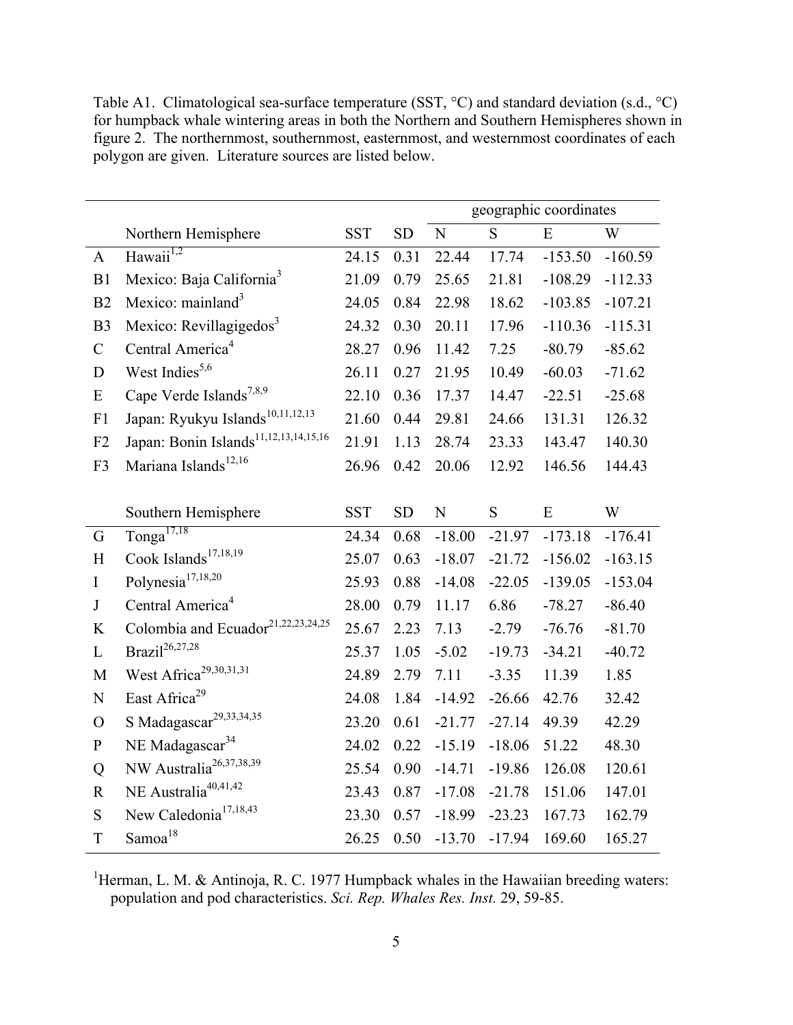|                |                                                   | geographic coordinates |           |             |          |           |           |
|----------------|---------------------------------------------------|------------------------|-----------|-------------|----------|-----------|-----------|
|                | Northern Hemisphere                               | <b>SST</b>             | <b>SD</b> | $\mathbf N$ | S        | E         | W         |
| $\mathbf{A}$   | Hawaii <sup>1,2</sup>                             | 24.15                  | 0.31      | 22.44       | 17.74    | $-153.50$ | $-160.59$ |
| B1             | Mexico: Baja California <sup>3</sup>              | 21.09                  | 0.79      | 25.65       | 21.81    | $-108.29$ | $-112.33$ |
| B2             | Mexico: mainland <sup>3</sup>                     | 24.05                  | 0.84      | 22.98       | 18.62    | $-103.85$ | $-107.21$ |
| B <sub>3</sub> | Mexico: Revillagigedos <sup>3</sup>               | 24.32                  | 0.30      | 20.11       | 17.96    | $-110.36$ | $-115.31$ |
| $\mathcal{C}$  | Central America <sup>4</sup>                      | 28.27                  | 0.96      | 11.42       | 7.25     | $-80.79$  | $-85.62$  |
| D              | West Indies <sup>5,6</sup>                        | 26.11                  | 0.27      | 21.95       | 10.49    | $-60.03$  | $-71.62$  |
| ${\bf E}$      | Cape Verde Islands <sup>7,8,9</sup>               | 22.10                  | 0.36      | 17.37       | 14.47    | $-22.51$  | $-25.68$  |
| F1             | Japan: Ryukyu Islands <sup>10,11,12,13</sup>      | 21.60                  | 0.44      | 29.81       | 24.66    | 131.31    | 126.32    |
| F2             | Japan: Bonin Islands <sup>11,12,13,14,15,16</sup> | 21.91                  | 1.13      | 28.74       | 23.33    | 143.47    | 140.30    |
| F3             | Mariana Islands <sup>12,16</sup>                  | 26.96                  | 0.42      | 20.06       | 12.92    | 146.56    | 144.43    |
|                | Southern Hemisphere                               | <b>SST</b>             | <b>SD</b> | $\mathbf N$ | S        | E         | W         |
| G              | $Tonga^{17,18}$                                   | 24.34                  | 0.68      | $-18.00$    | $-21.97$ | $-173.18$ | $-176.41$ |
| H              | Cook Islands <sup>17,18,19</sup>                  | 25.07                  | 0.63      | $-18.07$    | $-21.72$ | $-156.02$ | $-163.15$ |
| $\mathbf I$    | Polynesia <sup>17,18,20</sup>                     | 25.93                  | 0.88      | $-14.08$    | $-22.05$ | $-139.05$ | $-153.04$ |
| $\bf J$        | Central America <sup>4</sup>                      | 28.00                  | 0.79      | 11.17       | 6.86     | $-78.27$  | $-86.40$  |
| $\bf K$        | Colombia and Ecuador <sup>21,22,23,24,25</sup>    | 25.67                  | 2.23      | 7.13        | $-2.79$  | $-76.76$  | $-81.70$  |
| L              | Brazil <sup>26,27,28</sup>                        | 25.37                  | 1.05      | $-5.02$     | $-19.73$ | $-34.21$  | $-40.72$  |
| M              | West Africa <sup>29,30,31,31</sup>                | 24.89                  | 2.79      | 7.11        | $-3.35$  | 11.39     | 1.85      |
| ${\bf N}$      | East Africa <sup>29</sup>                         | 24.08                  | 1.84      | $-14.92$    | $-26.66$ | 42.76     | 32.42     |
| $\overline{O}$ | S Madagascar <sup>29,33,34,35</sup>               | 23.20                  | 0.61      | $-21.77$    | $-27.14$ | 49.39     | 42.29     |
| ${\bf P}$      | NE Madagascar <sup>34</sup>                       | 24.02                  | 0.22      | $-15.19$    | $-18.06$ | 51.22     | 48.30     |
| Q              | NW Australia <sup>26,37,38,39</sup>               | 25.54                  | 0.90      | $-14.71$    | $-19.86$ | 126.08    | 120.61    |
| $\mathbf R$    | NE Australia <sup>40,41,42</sup>                  | 23.43                  | 0.87      | $-17.08$    | $-21.78$ | 151.06    | 147.01    |
| ${\bf S}$      | New Caledonia <sup>17,18,43</sup>                 | 23.30                  | 0.57      | $-18.99$    | $-23.23$ | 167.73    | 162.79    |

Table A1. Climatological sea-surface temperature (SST, °C) and standard deviation (s.d., °C) for humpback whale wintering areas in both the Northern and Southern Hemispheres shown in figure 2. The northernmost, southernmost, easternmost, and westernmost coordinates of each polygon are given. Literature sources are listed below.

<sup>1</sup>Herman, L. M. & Antinoja, R. C. 1977 Humpback whales in the Hawaiian breeding waters: population and pod characteristics. *Sci. Rep. Whales Res. Inst.* 29, 59-85.

T Samoa<sup>18</sup> 26.25 0.50 -13.70 -17.94 169.60 165.27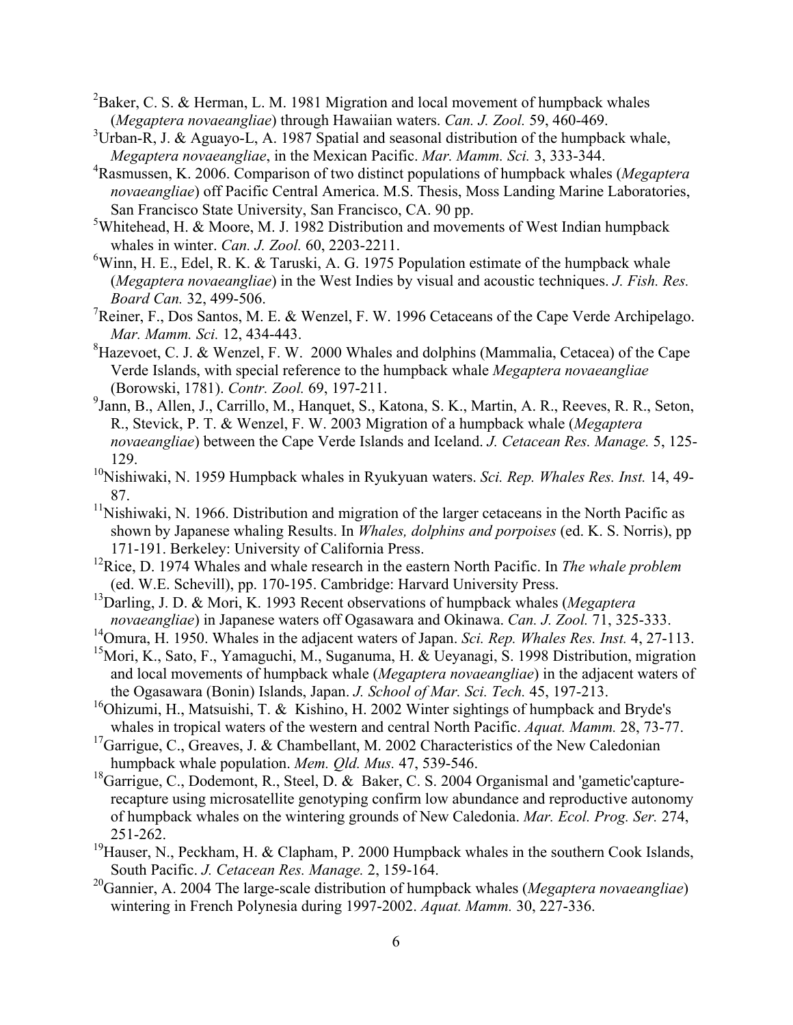- <sup>2</sup>Baker, C. S. & Herman, L. M. 1981 Migration and local movement of humpback whales (*Megaptera novaeangliae*) through Hawaiian waters. *Can. J. Zool.* 59, 460-469.
- $3$ Urban-R, J. & Aguayo-L, A. 1987 Spatial and seasonal distribution of the humpback whale, *Megaptera novaeangliae*, in the Mexican Pacific. *Mar. Mamm. Sci.* 3, 333-344.
- 4 Rasmussen, K. 2006. Comparison of two distinct populations of humpback whales (*Megaptera novaeangliae*) off Pacific Central America. M.S. Thesis, Moss Landing Marine Laboratories, San Francisco State University, San Francisco, CA. 90 pp.
- <sup>5</sup>Whitehead, H. & Moore, M. J. 1982 Distribution and movements of West Indian humpback whales in winter. *Can. J. Zool.* 60, 2203-2211.
- <sup>6</sup>Winn, H. E., Edel, R. K. & Taruski, A. G. 1975 Population estimate of the humpback whale (*Megaptera novaeangliae*) in the West Indies by visual and acoustic techniques. *J. Fish. Res. Board Can.* 32, 499-506.
- <sup>7</sup>Reiner, F., Dos Santos, M. E. & Wenzel, F. W. 1996 Cetaceans of the Cape Verde Archipelago. *Mar. Mamm. Sci.* 12, 434-443.
- ${}^{8}$ Hazevoet, C. J. & Wenzel, F. W. 2000 Whales and dolphins (Mammalia, Cetacea) of the Cape Verde Islands, with special reference to the humpback whale *Megaptera novaeangliae* (Borowski, 1781). *Contr. Zool.* 69, 197-211.
- <sup>9</sup>Jann, B., Allen, J., Carrillo, M., Hanquet, S., Katona, S. K., Martin, A. R., Reeves, R. R., Seton, R., Stevick, P. T. & Wenzel, F. W. 2003 Migration of a humpback whale (*Megaptera novaeangliae*) between the Cape Verde Islands and Iceland. *J. Cetacean Res. Manage.* 5, 125- 129.
- <sup>10</sup>Nishiwaki, N. 1959 Humpback whales in Ryukyuan waters. *Sci. Rep. Whales Res. Inst.* 14, 49-87.
- $11$ Nishiwaki, N. 1966. Distribution and migration of the larger cetaceans in the North Pacific as shown by Japanese whaling Results. In *Whales, dolphins and porpoises* (ed. K. S. Norris), pp 171-191. Berkeley: University of California Press.
- 12Rice, D. 1974 Whales and whale research in the eastern North Pacific. In *The whale problem* (ed. W.E. Schevill), pp. 170-195. Cambridge: Harvard University Press.
- 13Darling, J. D. & Mori, K. 1993 Recent observations of humpback whales (*Megaptera novaeangliae*) in Japanese waters off Ogasawara and Okinawa. *Can. J. Zool.* 71, 325-333.
- 14Omura, H. 1950. Whales in the adjacent waters of Japan. *Sci. Rep. Whales Res. Inst.* 4, 27-113.
- <sup>15</sup>Mori, K., Sato, F., Yamaguchi, M., Suganuma, H. & Ueyanagi, S. 1998 Distribution, migration and local movements of humpback whale (*Megaptera novaeangliae*) in the adjacent waters of the Ogasawara (Bonin) Islands, Japan. *J. School of Mar. Sci. Tech.* 45, 197-213.
- <sup>16</sup>Ohizumi, H., Matsuishi, T. & Kishino, H. 2002 Winter sightings of humpback and Bryde's whales in tropical waters of the western and central North Pacific. *Aquat. Mamm.* 28, 73-77.
- <sup>17</sup>Garrigue, C., Greaves, J. & Chambellant, M. 2002 Characteristics of the New Caledonian humpback whale population. *Mem. Qld. Mus.* 47, 539-546.
- <sup>18</sup>Garrigue, C., Dodemont, R., Steel, D. & Baker, C. S. 2004 Organismal and 'gametic'capturerecapture using microsatellite genotyping confirm low abundance and reproductive autonomy of humpback whales on the wintering grounds of New Caledonia. *Mar. Ecol. Prog. Ser.* 274, 251-262.
- <sup>19</sup>Hauser, N., Peckham, H. & Clapham, P. 2000 Humpback whales in the southern Cook Islands, South Pacific. *J. Cetacean Res. Manage.* 2, 159-164.
- 20Gannier, A. 2004 The large-scale distribution of humpback whales (*Megaptera novaeangliae*) wintering in French Polynesia during 1997-2002. *Aquat. Mamm.* 30, 227-336.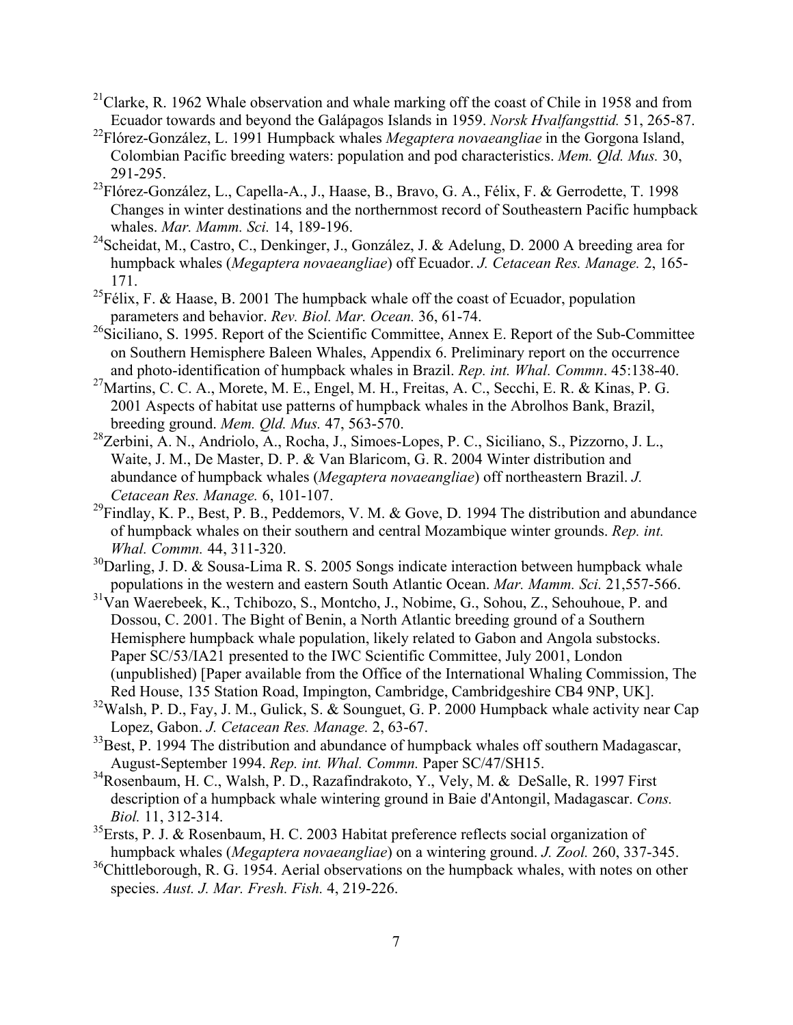- <sup>21</sup>Clarke, R. 1962 Whale observation and whale marking off the coast of Chile in 1958 and from Ecuador towards and beyond the Galápagos Islands in 1959. *Norsk Hvalfangsttid.* 51, 265-87.
- 22Flórez-González, L. 1991 Humpback whales *Megaptera novaeangliae* in the Gorgona Island, Colombian Pacific breeding waters: population and pod characteristics. *Mem. Qld. Mus.* 30, 291-295.
- <sup>23</sup>Flórez-González, L., Capella-A., J., Haase, B., Bravo, G. A., Félix, F. & Gerrodette, T. 1998 Changes in winter destinations and the northernmost record of Southeastern Pacific humpback whales. *Mar. Mamm. Sci.* 14, 189-196.
- <sup>24</sup>Scheidat, M., Castro, C., Denkinger, J., González, J. & Adelung, D. 2000 A breeding area for humpback whales (*Megaptera novaeangliae*) off Ecuador. *J. Cetacean Res. Manage.* 2, 165- 171.
- <sup>25</sup>Félix, F. & Haase, B. 2001 The humpback whale off the coast of Ecuador, population parameters and behavior. *Rev. Biol. Mar. Ocean.* 36, 61-74.
- <sup>26</sup>Siciliano, S. 1995. Report of the Scientific Committee, Annex E. Report of the Sub-Committee on Southern Hemisphere Baleen Whales, Appendix 6. Preliminary report on the occurrence and photo-identification of humpback whales in Brazil. *Rep. int. Whal. Commn*. 45:138-40.
- <sup>27</sup>Martins, C. C. A., Morete, M. E., Engel, M. H., Freitas, A. C., Secchi, E. R. & Kinas, P. G. 2001 Aspects of habitat use patterns of humpback whales in the Abrolhos Bank, Brazil, breeding ground. *Mem. Qld. Mus.* 47, 563-570.
- 28Zerbini, A. N., Andriolo, A., Rocha, J., Simoes-Lopes, P. C., Siciliano, S., Pizzorno, J. L., Waite, J. M., De Master, D. P. & Van Blaricom, G. R. 2004 Winter distribution and abundance of humpback whales (*Megaptera novaeangliae*) off northeastern Brazil. *J. Cetacean Res. Manage.* 6, 101-107.
- $^{29}$ Findlay, K. P., Best, P. B., Peddemors, V. M. & Gove, D. 1994 The distribution and abundance of humpback whales on their southern and central Mozambique winter grounds. *Rep. int. Whal. Commn.* 44, 311-320.
- $30$ Darling, J. D. & Sousa-Lima R. S. 2005 Songs indicate interaction between humpback whale populations in the western and eastern South Atlantic Ocean. *Mar. Mamm. Sci.* 21,557-566.
- $31$ Van Waerebeek, K., Tchibozo, S., Montcho, J., Nobime, G., Sohou, Z., Sehouhoue, P. and Dossou, C. 2001. The Bight of Benin, a North Atlantic breeding ground of a Southern Hemisphere humpback whale population, likely related to Gabon and Angola substocks. Paper SC/53/IA21 presented to the IWC Scientific Committee, July 2001, London (unpublished) [Paper available from the Office of the International Whaling Commission, The Red House, 135 Station Road, Impington, Cambridge, Cambridgeshire CB4 9NP, UK].
- <sup>32</sup>Walsh, P. D., Fay, J. M., Gulick, S. & Sounguet, G. P. 2000 Humpback whale activity near Cap Lopez, Gabon. *J. Cetacean Res. Manage.* 2, 63-67.
- $33$ Best, P. 1994 The distribution and abundance of humpback whales off southern Madagascar, August-September 1994. *Rep. int. Whal. Commn.* Paper SC/47/SH15.
- $34R$ osenbaum, H. C., Walsh, P. D., Razafindrakoto, Y., Vely, M. & DeSalle, R. 1997 First description of a humpback whale wintering ground in Baie d'Antongil, Madagascar. *Cons. Biol.* 11, 312-314.
- $35$ Ersts, P. J. & Rosenbaum, H. C. 2003 Habitat preference reflects social organization of humpback whales (*Megaptera novaeangliae*) on a wintering ground. *J. Zool.* 260, 337-345.
- <sup>36</sup>Chittleborough, R. G. 1954. Aerial observations on the humpback whales, with notes on other species. *Aust. J. Mar. Fresh. Fish.* 4, 219-226.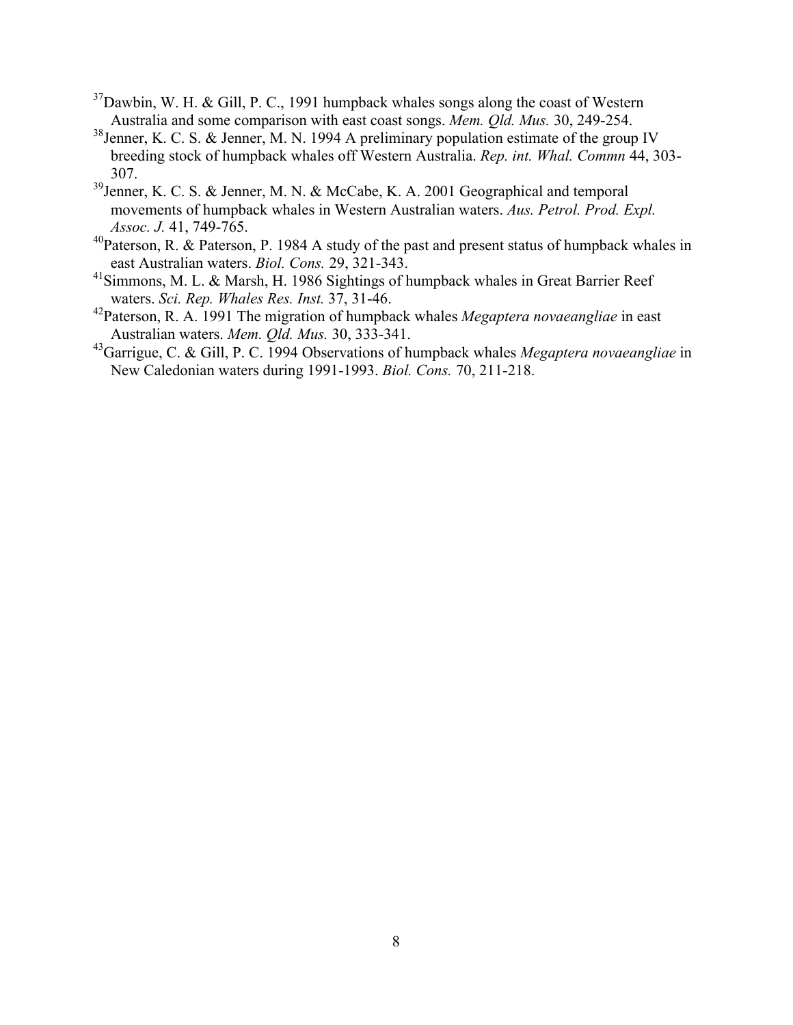- $37$ Dawbin, W. H. & Gill, P. C., 1991 humpback whales songs along the coast of Western Australia and some comparison with east coast songs. *Mem. Qld. Mus.* 30, 249-254.
- <sup>38</sup>Jenner, K. C. S. & Jenner, M. N. 1994 A preliminary population estimate of the group IV breeding stock of humpback whales off Western Australia. *Rep. int. Whal. Commn* 44, 303- 307.
- <sup>39</sup>Jenner, K. C. S. & Jenner, M. N. & McCabe, K. A. 2001 Geographical and temporal movements of humpback whales in Western Australian waters. *Aus. Petrol. Prod. Expl. Assoc. J.* 41, 749-765.
- $^{40}$ Paterson, R. & Paterson, P. 1984 A study of the past and present status of humpback whales in east Australian waters. *Biol. Cons.* 29, 321-343.
- <sup>41</sup>Simmons, M. L. & Marsh, H. 1986 Sightings of humpback whales in Great Barrier Reef waters. *Sci. Rep. Whales Res. Inst.* 37, 31-46.
- 42Paterson, R. A. 1991 The migration of humpback whales *Megaptera novaeangliae* in east Australian waters. *Mem. Qld. Mus.* 30, 333-341.
- 43Garrigue, C. & Gill, P. C. 1994 Observations of humpback whales *Megaptera novaeangliae* in New Caledonian waters during 1991-1993. *Biol. Cons.* 70, 211-218.